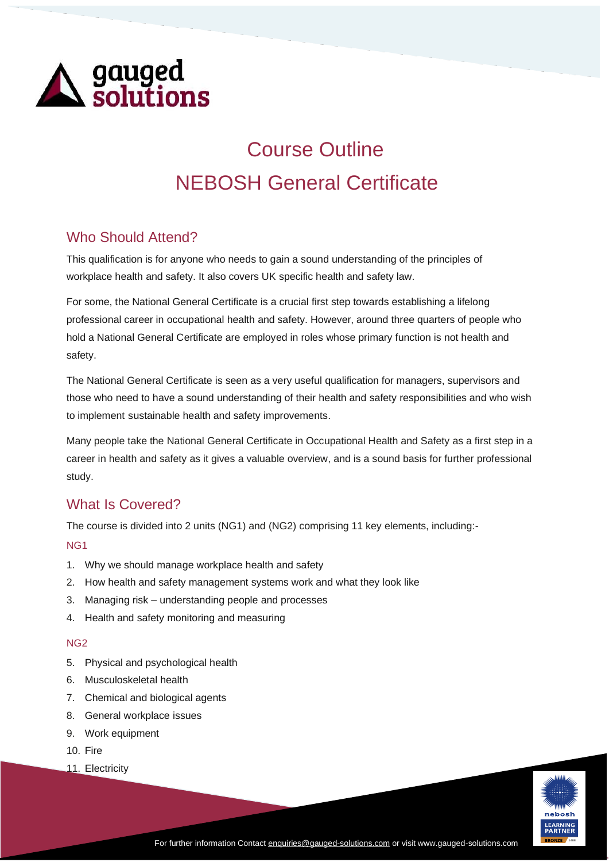

# Course Outline NEBOSH General Certificate

## Who Should Attend?

This qualification is for anyone who needs to gain a sound understanding of the principles of workplace health and safety. It also covers UK specific health and safety law.

For some, the National General Certificate is a crucial first step towards establishing a lifelong professional career in occupational health and safety. However, around three quarters of people who hold a National General Certificate are employed in roles whose primary function is not health and safety.

The National General Certificate is seen as a very useful qualification for managers, supervisors and those who need to have a sound understanding of their health and safety responsibilities and who wish to implement sustainable health and safety improvements.

Many people take the National General Certificate in Occupational Health and Safety as a first step in a career in health and safety as it gives a valuable overview, and is a sound basis for further professional study.

### What Is Covered?

The course is divided into 2 units (NG1) and (NG2) comprising 11 key elements, including:-

#### NG1

- 1. Why we should manage workplace health and safety
- 2. How health and safety management systems work and what they look like
- 3. Managing risk understanding people and processes
- 4. Health and safety monitoring and measuring

#### NG2

- 5. Physical and psychological health
- 6. Musculoskeletal health
- 7. Chemical and biological agents
- 8. General workplace issues
- 9. Work equipment
- 10. Fire
- 11. Electricity